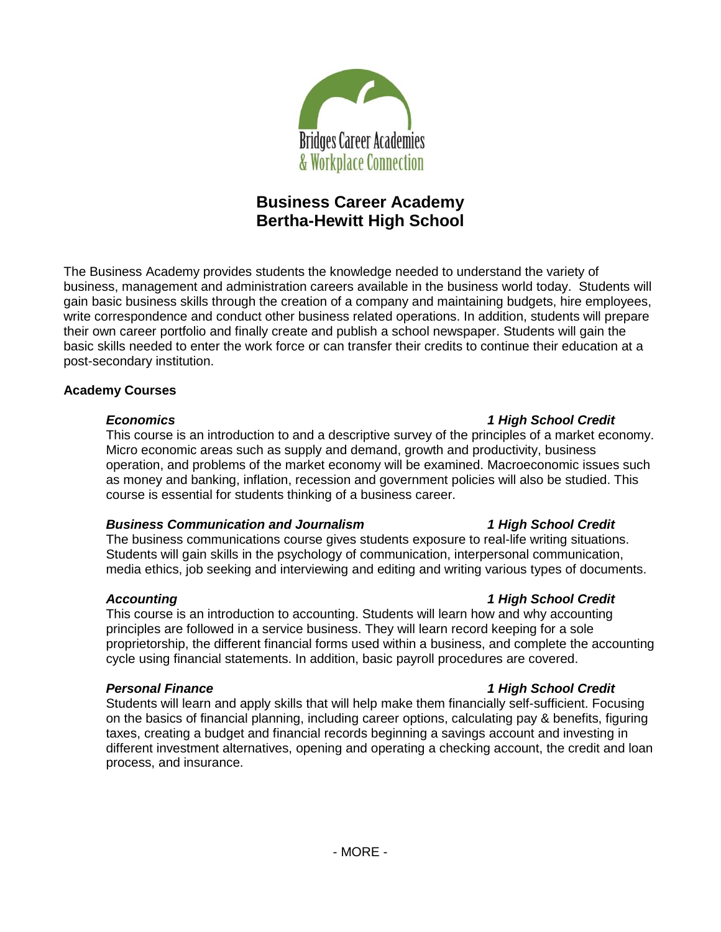

# **Business Career Academy Bertha-Hewitt High School**

The Business Academy provides students the knowledge needed to understand the variety of business, management and administration careers available in the business world today. Students will gain basic business skills through the creation of a company and maintaining budgets, hire employees, write correspondence and conduct other business related operations. In addition, students will prepare their own career portfolio and finally create and publish a school newspaper. Students will gain the basic skills needed to enter the work force or can transfer their credits to continue their education at a post-secondary institution.

# **Academy Courses**

#### *Economics 1 High School Credit*

This course is an introduction to and a descriptive survey of the principles of a market economy. Micro economic areas such as supply and demand, growth and productivity, business operation, and problems of the market economy will be examined. Macroeconomic issues such as money and banking, inflation, recession and government policies will also be studied. This course is essential for students thinking of a business career.

# *Business Communication and Journalism 1 High School Credit*

The business communications course gives students exposure to real-life writing situations. Students will gain skills in the psychology of communication, interpersonal communication, media ethics, job seeking and interviewing and editing and writing various types of documents.

This course is an introduction to accounting. Students will learn how and why accounting principles are followed in a service business. They will learn record keeping for a sole proprietorship, the different financial forms used within a business, and complete the accounting cycle using financial statements. In addition, basic payroll procedures are covered.

# *Personal Finance 1 High School Credit*

Students will learn and apply skills that will help make them financially self-sufficient. Focusing on the basics of financial planning, including career options, calculating pay & benefits, figuring taxes, creating a budget and financial records beginning a savings account and investing in different investment alternatives, opening and operating a checking account, the credit and loan process, and insurance.

# *Accounting 1 High School Credit*